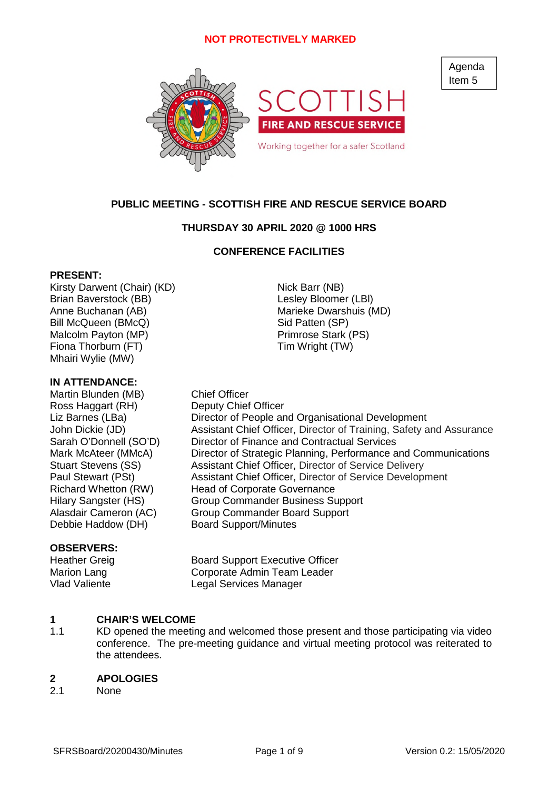

# **PUBLIC MEETING - SCOTTISH FIRE AND RESCUE SERVICE BOARD**

# **THURSDAY 30 APRIL 2020 @ 1000 HRS**

# **CONFERENCE FACILITIES**

### **PRESENT:**

Kirsty Darwent (Chair) (KD) Nick Barr (NB) Brian Baverstock (BB) Contract Contract Contract Lesley Bloomer (LBI) Anne Buchanan (AB) Marieke Dwarshuis (MD) Bill McQueen (BMcQ) Sid Patten (SP) Malcolm Payton (MP) Primrose Stark (PS) Fiona Thorburn (FT) Tim Wright (TW) Mhairi Wylie (MW)

### **IN ATTENDANCE:**

Martin Blunden (MB) Chief Officer Ross Haggart (RH) Deputy Chief Officer Debbie Haddow (DH) Board Support/Minutes

# **OBSERVERS:**

Liz Barnes (LBa) Director of People and Organisational Development John Dickie (JD) Assistant Chief Officer, Director of Training, Safety and Assurance Sarah O'Donnell (SO'D) Director of Finance and Contractual Services Mark McAteer (MMcA) Director of Strategic Planning, Performance and Communications Stuart Stevens (SS) Assistant Chief Officer, Director of Service Delivery Paul Stewart (PSt) Assistant Chief Officer, Director of Service Development Richard Whetton (RW) Head of Corporate Governance Hilary Sangster (HS) Group Commander Business Support Alasdair Cameron (AC) Group Commander Board Support

Heather Greig **Board Support Executive Officer** Marion Lang Corporate Admin Team Leader Vlad Valiente Legal Services Manager

### **1 CHAIR'S WELCOME**

1.1 KD opened the meeting and welcomed those present and those participating via video conference. The pre-meeting guidance and virtual meeting protocol was reiterated to the attendees.

### **2 APOLOGIES**

2.1 None Agenda Item 5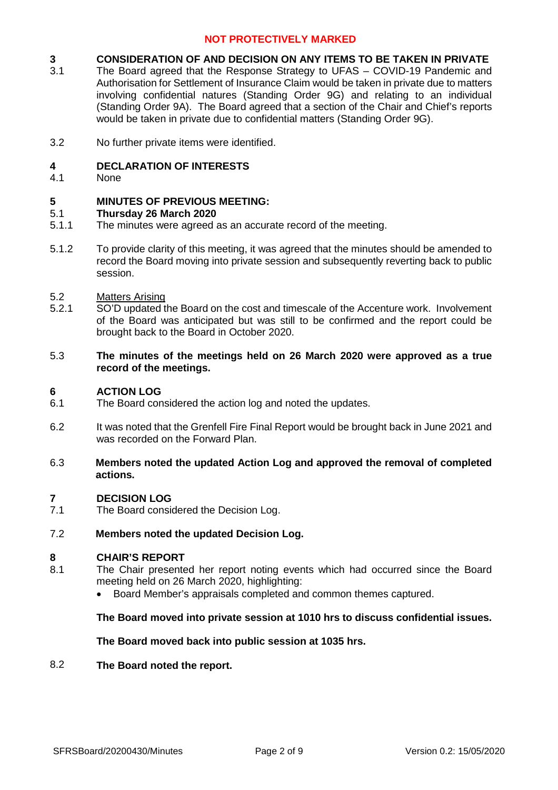### **3 CONSIDERATION OF AND DECISION ON ANY ITEMS TO BE TAKEN IN PRIVATE**

- 3.1 The Board agreed that the Response Strategy to UFAS – COVID-19 Pandemic and Authorisation for Settlement of Insurance Claim would be taken in private due to matters involving confidential natures (Standing Order 9G) and relating to an individual (Standing Order 9A). The Board agreed that a section of the Chair and Chief's reports would be taken in private due to confidential matters (Standing Order 9G).
- 3.2 No further private items were identified.

#### **4 DECLARATION OF INTERESTS**

4.1 None

### **5 MINUTES OF PREVIOUS MEETING:**

#### 5.1 **Thursday 26 March 2020**

- 5.1.1 The minutes were agreed as an accurate record of the meeting.
- 5.1.2 To provide clarity of this meeting, it was agreed that the minutes should be amended to record the Board moving into private session and subsequently reverting back to public session.

#### 5.2 Matters Arising

- 5.2.1 SO'D updated the Board on the cost and timescale of the Accenture work. Involvement of the Board was anticipated but was still to be confirmed and the report could be brought back to the Board in October 2020.
- 5.3 **The minutes of the meetings held on 26 March 2020 were approved as a true record of the meetings.**

#### **6 ACTION LOG**

- 6.1 The Board considered the action log and noted the updates.
- 6.2 It was noted that the Grenfell Fire Final Report would be brought back in June 2021 and was recorded on the Forward Plan.
- 6.3 **Members noted the updated Action Log and approved the removal of completed actions.**

#### **7 DECISION LOG**

- 7.1 The Board considered the Decision Log.
- 7.2 **Members noted the updated Decision Log.**

### **8 CHAIR'S REPORT**

- 8.1 The Chair presented her report noting events which had occurred since the Board meeting held on 26 March 2020, highlighting:
	- Board Member's appraisals completed and common themes captured.

## **The Board moved into private session at 1010 hrs to discuss confidential issues.**

## **The Board moved back into public session at 1035 hrs.**

### 8.2 **The Board noted the report.**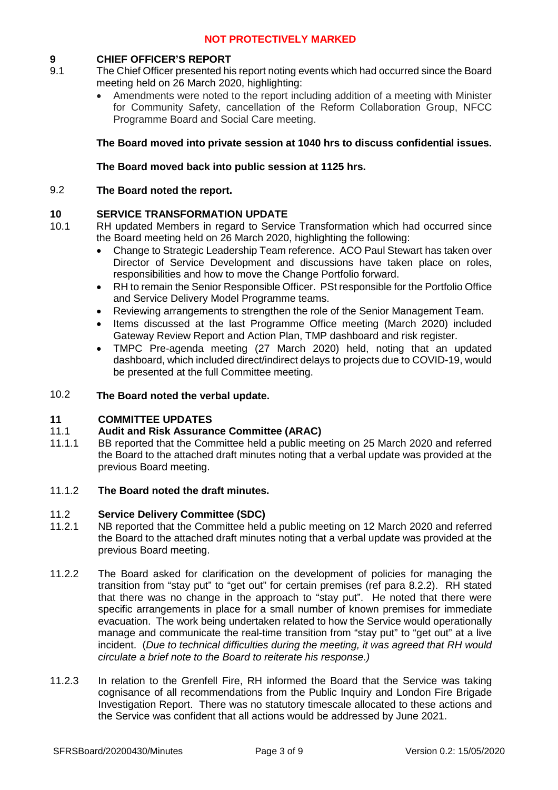# **9 CHIEF OFFICER'S REPORT**

- 9.1 The Chief Officer presented his report noting events which had occurred since the Board meeting held on 26 March 2020, highlighting:
	- Amendments were noted to the report including addition of a meeting with Minister for Community Safety, cancellation of the Reform Collaboration Group, NFCC Programme Board and Social Care meeting.

# **The Board moved into private session at 1040 hrs to discuss confidential issues.**

# **The Board moved back into public session at 1125 hrs.**

### 9.2 **The Board noted the report.**

10.1

### **10 SERVICE TRANSFORMATION UPDATE**

- RH updated Members in regard to Service Transformation which had occurred since the Board meeting held on 26 March 2020, highlighting the following:
	- Change to Strategic Leadership Team reference. ACO Paul Stewart has taken over Director of Service Development and discussions have taken place on roles, responsibilities and how to move the Change Portfolio forward.
	- RH to remain the Senior Responsible Officer. PSt responsible for the Portfolio Office and Service Delivery Model Programme teams.
	- Reviewing arrangements to strengthen the role of the Senior Management Team.
	- Items discussed at the last Programme Office meeting (March 2020) included Gateway Review Report and Action Plan, TMP dashboard and risk register.
	- TMPC Pre-agenda meeting (27 March 2020) held, noting that an updated dashboard, which included direct/indirect delays to projects due to COVID-19, would be presented at the full Committee meeting.

### 10.2 **The Board noted the verbal update.**

### **11 COMMITTEE UPDATES**

### 11.1 **Audit and Risk Assurance Committee (ARAC)**

11.1.1 BB reported that the Committee held a public meeting on 25 March 2020 and referred the Board to the attached draft minutes noting that a verbal update was provided at the previous Board meeting.

#### 11.1.2 **The Board noted the draft minutes.**

#### 11.2 **Service Delivery Committee (SDC)**

- 11.2.1 NB reported that the Committee held a public meeting on 12 March 2020 and referred the Board to the attached draft minutes noting that a verbal update was provided at the previous Board meeting.
- 11.2.2 The Board asked for clarification on the development of policies for managing the transition from "stay put" to "get out" for certain premises (ref para 8.2.2). RH stated that there was no change in the approach to "stay put". He noted that there were specific arrangements in place for a small number of known premises for immediate evacuation. The work being undertaken related to how the Service would operationally manage and communicate the real-time transition from "stay put" to "get out" at a live incident. (*Due to technical difficulties during the meeting, it was agreed that RH would circulate a brief note to the Board to reiterate his response.)*
- 11.2.3 In relation to the Grenfell Fire, RH informed the Board that the Service was taking cognisance of all recommendations from the Public Inquiry and London Fire Brigade Investigation Report. There was no statutory timescale allocated to these actions and the Service was confident that all actions would be addressed by June 2021.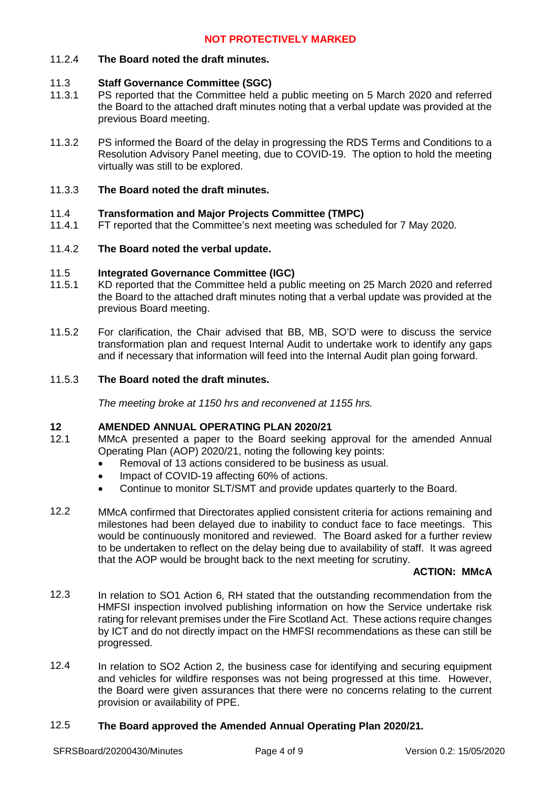# 11.2.4 **The Board noted the draft minutes.**

### 11.3 **Staff Governance Committee (SGC)**

- 11.3.1 PS reported that the Committee held a public meeting on 5 March 2020 and referred the Board to the attached draft minutes noting that a verbal update was provided at the previous Board meeting.
- 11.3.2 PS informed the Board of the delay in progressing the RDS Terms and Conditions to a Resolution Advisory Panel meeting, due to COVID-19. The option to hold the meeting virtually was still to be explored.

#### 11.3.3 **The Board noted the draft minutes.**

### 11.4 **Transformation and Major Projects Committee (TMPC)**

11.4.1 FT reported that the Committee's next meeting was scheduled for 7 May 2020.

### 11.4.2 **The Board noted the verbal update.**

### 11.5 **Integrated Governance Committee (IGC)**

- 11.5.1 KD reported that the Committee held a public meeting on 25 March 2020 and referred the Board to the attached draft minutes noting that a verbal update was provided at the previous Board meeting.
- 11.5.2 For clarification, the Chair advised that BB, MB, SO'D were to discuss the service transformation plan and request Internal Audit to undertake work to identify any gaps and if necessary that information will feed into the Internal Audit plan going forward.

#### 11.5.3 **The Board noted the draft minutes.**

*The meeting broke at 1150 hrs and reconvened at 1155 hrs.*

# **12 AMENDED ANNUAL OPERATING PLAN 2020/21**

- 12.1 MMcA presented a paper to the Board seeking approval for the amended Annual Operating Plan (AOP) 2020/21, noting the following key points:
	- Removal of 13 actions considered to be business as usual.
	- Impact of COVID-19 affecting 60% of actions.
	- Continue to monitor SLT/SMT and provide updates quarterly to the Board.
- 12.2 MMcA confirmed that Directorates applied consistent criteria for actions remaining and milestones had been delayed due to inability to conduct face to face meetings. This would be continuously monitored and reviewed. The Board asked for a further review to be undertaken to reflect on the delay being due to availability of staff. It was agreed that the AOP would be brought back to the next meeting for scrutiny.

### **ACTION: MMcA**

- 12.3 In relation to SO1 Action 6, RH stated that the outstanding recommendation from the HMFSI inspection involved publishing information on how the Service undertake risk rating for relevant premises under the Fire Scotland Act. These actions require changes by ICT and do not directly impact on the HMFSI recommendations as these can still be progressed.
- 12.4 In relation to SO2 Action 2, the business case for identifying and securing equipment and vehicles for wildfire responses was not being progressed at this time. However, the Board were given assurances that there were no concerns relating to the current provision or availability of PPE.

#### 12.5 **The Board approved the Amended Annual Operating Plan 2020/21.**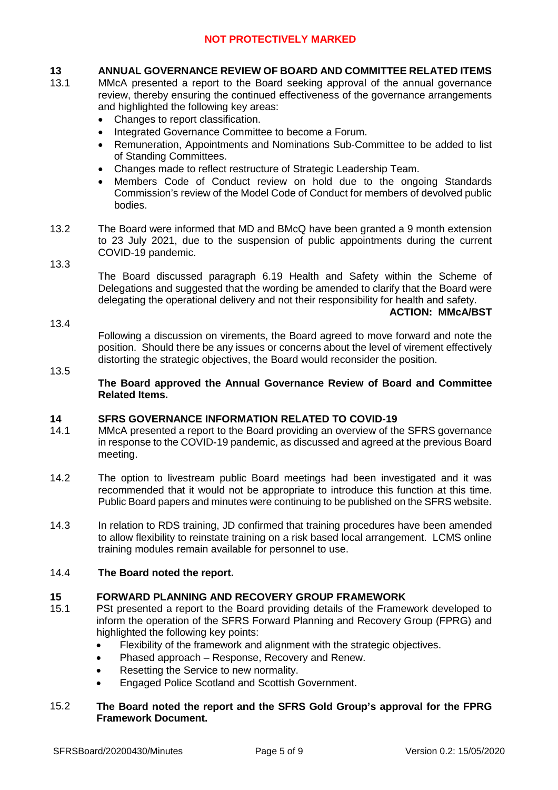# **13 ANNUAL GOVERNANCE REVIEW OF BOARD AND COMMITTEE RELATED ITEMS**

- 13.1 MMcA presented a report to the Board seeking approval of the annual governance review, thereby ensuring the continued effectiveness of the governance arrangements and highlighted the following key areas:
	- Changes to report classification.
	- Integrated Governance Committee to become a Forum.
	- Remuneration, Appointments and Nominations Sub-Committee to be added to list of Standing Committees.
	- Changes made to reflect restructure of Strategic Leadership Team.
	- Members Code of Conduct review on hold due to the ongoing Standards Commission's review of the Model Code of Conduct for members of devolved public bodies.
- 13.2 The Board were informed that MD and BMcQ have been granted a 9 month extension to 23 July 2021, due to the suspension of public appointments during the current COVID-19 pandemic.

### 13.3

The Board discussed paragraph 6.19 Health and Safety within the Scheme of Delegations and suggested that the wording be amended to clarify that the Board were delegating the operational delivery and not their responsibility for health and safety.

### **ACTION: MMcA/BST**

Following a discussion on virements, the Board agreed to move forward and note the position. Should there be any issues or concerns about the level of virement effectively distorting the strategic objectives, the Board would reconsider the position.

### 13.5

13.4

# **The Board approved the Annual Governance Review of Board and Committee Related Items.**

### **14 SFRS GOVERNANCE INFORMATION RELATED TO COVID-19**

- 14.1 MMcA presented a report to the Board providing an overview of the SFRS governance in response to the COVID-19 pandemic, as discussed and agreed at the previous Board meeting.
- 14.2 The option to livestream public Board meetings had been investigated and it was recommended that it would not be appropriate to introduce this function at this time. Public Board papers and minutes were continuing to be published on the SFRS website.
- 14.3 In relation to RDS training, JD confirmed that training procedures have been amended to allow flexibility to reinstate training on a risk based local arrangement. LCMS online training modules remain available for personnel to use.

### 14.4 **The Board noted the report.**

# **15 FORWARD PLANNING AND RECOVERY GROUP FRAMEWORK**

- 15.1 PSt presented a report to the Board providing details of the Framework developed to inform the operation of the SFRS Forward Planning and Recovery Group (FPRG) and highlighted the following key points:
	- Flexibility of the framework and alignment with the strategic objectives.
	- Phased approach Response, Recovery and Renew.
	- Resetting the Service to new normality.
	- Engaged Police Scotland and Scottish Government.

### 15.2 **The Board noted the report and the SFRS Gold Group's approval for the FPRG Framework Document.**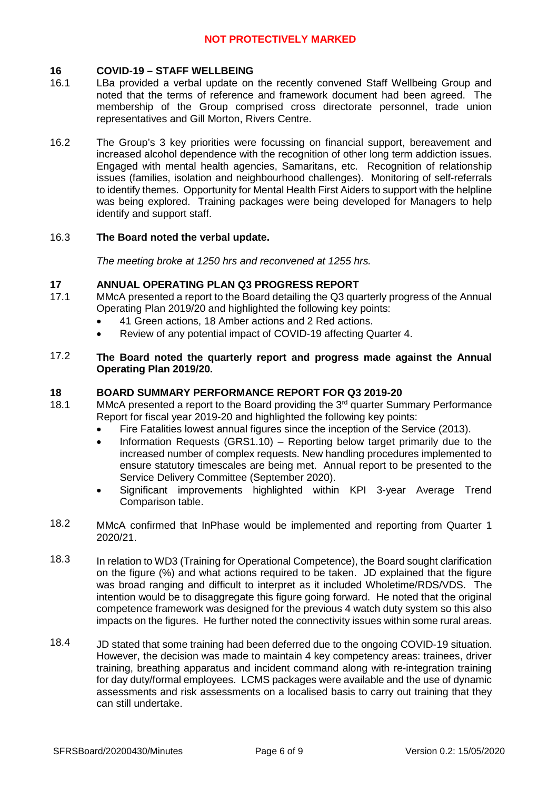# **16 COVID-19 – STAFF WELLBEING**

- 16.1 LBa provided a verbal update on the recently convened Staff Wellbeing Group and noted that the terms of reference and framework document had been agreed. The membership of the Group comprised cross directorate personnel, trade union representatives and Gill Morton, Rivers Centre.
- 16.2 The Group's 3 key priorities were focussing on financial support, bereavement and increased alcohol dependence with the recognition of other long term addiction issues. Engaged with mental health agencies, Samaritans, etc. Recognition of relationship issues (families, isolation and neighbourhood challenges). Monitoring of self-referrals to identify themes. Opportunity for Mental Health First Aiders to support with the helpline was being explored. Training packages were being developed for Managers to help identify and support staff.

### 16.3 **The Board noted the verbal update.**

*The meeting broke at 1250 hrs and reconvened at 1255 hrs.*

## **17 ANNUAL OPERATING PLAN Q3 PROGRESS REPORT**

- 17.1 MMcA presented a report to the Board detailing the Q3 quarterly progress of the Annual Operating Plan 2019/20 and highlighted the following key points:
	- 41 Green actions, 18 Amber actions and 2 Red actions.
	- Review of any potential impact of COVID-19 affecting Quarter 4.
- 17.2 **The Board noted the quarterly report and progress made against the Annual Operating Plan 2019/20.**

### **18 BOARD SUMMARY PERFORMANCE REPORT FOR Q3 2019-20**

- 18.1 MMcA presented a report to the Board providing the  $3<sup>rd</sup>$  quarter Summary Performance Report for fiscal year 2019-20 and highlighted the following key points:
	- Fire Fatalities lowest annual figures since the inception of the Service (2013).
	- Information Requests (GRS1.10) Reporting below target primarily due to the increased number of complex requests. New handling procedures implemented to ensure statutory timescales are being met. Annual report to be presented to the Service Delivery Committee (September 2020).
	- Significant improvements highlighted within KPI 3-year Average Trend Comparison table.
- 18.2 MMcA confirmed that InPhase would be implemented and reporting from Quarter 1 2020/21.
- 18.3 In relation to WD3 (Training for Operational Competence), the Board sought clarification on the figure (%) and what actions required to be taken. JD explained that the figure was broad ranging and difficult to interpret as it included Wholetime/RDS/VDS. The intention would be to disaggregate this figure going forward. He noted that the original competence framework was designed for the previous 4 watch duty system so this also impacts on the figures. He further noted the connectivity issues within some rural areas.
- 18.4 JD stated that some training had been deferred due to the ongoing COVID-19 situation. However, the decision was made to maintain 4 key competency areas: trainees, driver training, breathing apparatus and incident command along with re-integration training for day duty/formal employees. LCMS packages were available and the use of dynamic assessments and risk assessments on a localised basis to carry out training that they can still undertake.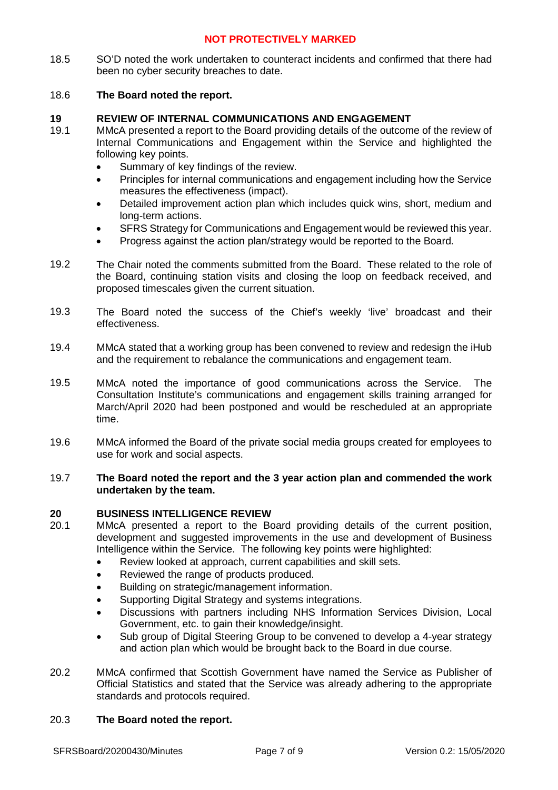18.5 SO'D noted the work undertaken to counteract incidents and confirmed that there had been no cyber security breaches to date.

### 18.6 **The Board noted the report.**

## **19 REVIEW OF INTERNAL COMMUNICATIONS AND ENGAGEMENT**

- 19.1 MMcA presented a report to the Board providing details of the outcome of the review of Internal Communications and Engagement within the Service and highlighted the following key points.
	- Summary of key findings of the review.
	- Principles for internal communications and engagement including how the Service measures the effectiveness (impact).
	- Detailed improvement action plan which includes quick wins, short, medium and long-term actions.
	- SFRS Strategy for Communications and Engagement would be reviewed this year.
	- Progress against the action plan/strategy would be reported to the Board.
- 19.2 The Chair noted the comments submitted from the Board. These related to the role of the Board, continuing station visits and closing the loop on feedback received, and proposed timescales given the current situation.
- 19.3 The Board noted the success of the Chief's weekly 'live' broadcast and their effectiveness.
- 19.4 MMcA stated that a working group has been convened to review and redesign the iHub and the requirement to rebalance the communications and engagement team.
- 19.5 MMcA noted the importance of good communications across the Service. The Consultation Institute's communications and engagement skills training arranged for March/April 2020 had been postponed and would be rescheduled at an appropriate time.
- 19.6 MMcA informed the Board of the private social media groups created for employees to use for work and social aspects.

### 19.7 **The Board noted the report and the 3 year action plan and commended the work undertaken by the team.**

## **20 BUSINESS INTELLIGENCE REVIEW**

- 20.1 MMcA presented a report to the Board providing details of the current position, development and suggested improvements in the use and development of Business Intelligence within the Service. The following key points were highlighted:
	- Review looked at approach, current capabilities and skill sets.
	- Reviewed the range of products produced.
	- Building on strategic/management information.
	- Supporting Digital Strategy and systems integrations.
	- Discussions with partners including NHS Information Services Division, Local Government, etc. to gain their knowledge/insight.
	- Sub group of Digital Steering Group to be convened to develop a 4-year strategy and action plan which would be brought back to the Board in due course.
- 20.2 MMcA confirmed that Scottish Government have named the Service as Publisher of Official Statistics and stated that the Service was already adhering to the appropriate standards and protocols required.

### 20.3 **The Board noted the report.**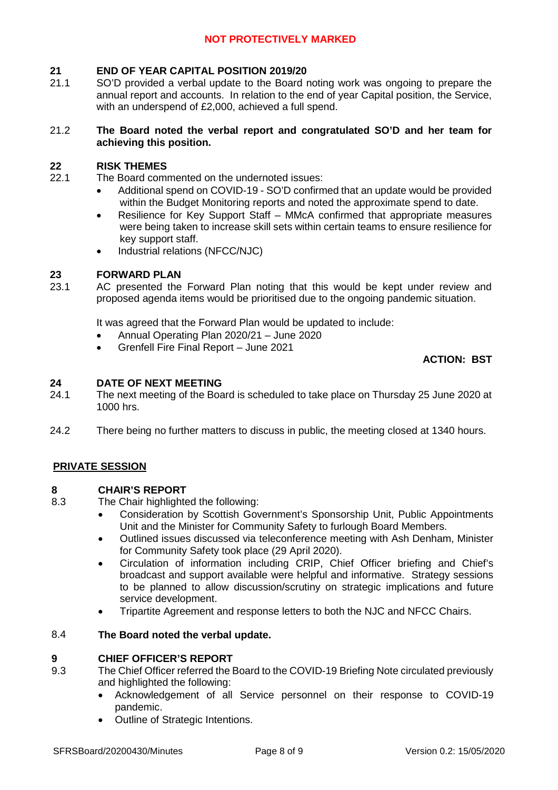# **21 END OF YEAR CAPITAL POSITION 2019/20**

21.1 SO'D provided a verbal update to the Board noting work was ongoing to prepare the annual report and accounts. In relation to the end of year Capital position, the Service, with an underspend of £2,000, achieved a full spend.

### 21.2 **The Board noted the verbal report and congratulated SO'D and her team for achieving this position.**

# **22 RISK THEMES**

22.1 The Board commented on the undernoted issues:

- Additional spend on COVID-19 SO'D confirmed that an update would be provided within the Budget Monitoring reports and noted the approximate spend to date.
- Resilience for Key Support Staff MMcA confirmed that appropriate measures were being taken to increase skill sets within certain teams to ensure resilience for key support staff.
- Industrial relations (NFCC/NJC)

# **23 FORWARD PLAN**

23.1 AC presented the Forward Plan noting that this would be kept under review and proposed agenda items would be prioritised due to the ongoing pandemic situation.

It was agreed that the Forward Plan would be updated to include:

- Annual Operating Plan 2020/21 June 2020
- Grenfell Fire Final Report June 2021

# **ACTION: BST**

### **24 DATE OF NEXT MEETING**

- 24.1 The next meeting of the Board is scheduled to take place on Thursday 25 June 2020 at 1000 hrs.
- 24.2 There being no further matters to discuss in public, the meeting closed at 1340 hours.

# **PRIVATE SESSION**

#### **8 CHAIR'S REPORT**

- 8.3 The Chair highlighted the following:
	- Consideration by Scottish Government's Sponsorship Unit, Public Appointments Unit and the Minister for Community Safety to furlough Board Members.
	- Outlined issues discussed via teleconference meeting with Ash Denham, Minister for Community Safety took place (29 April 2020).
	- Circulation of information including CRIP, Chief Officer briefing and Chief's broadcast and support available were helpful and informative. Strategy sessions to be planned to allow discussion/scrutiny on strategic implications and future service development.
	- Tripartite Agreement and response letters to both the NJC and NFCC Chairs.

#### 8.4 **The Board noted the verbal update.**

#### **9 CHIEF OFFICER'S REPORT**

- 9.3 The Chief Officer referred the Board to the COVID-19 Briefing Note circulated previously and highlighted the following:
	- Acknowledgement of all Service personnel on their response to COVID-19 pandemic.
	- Outline of Strategic Intentions.